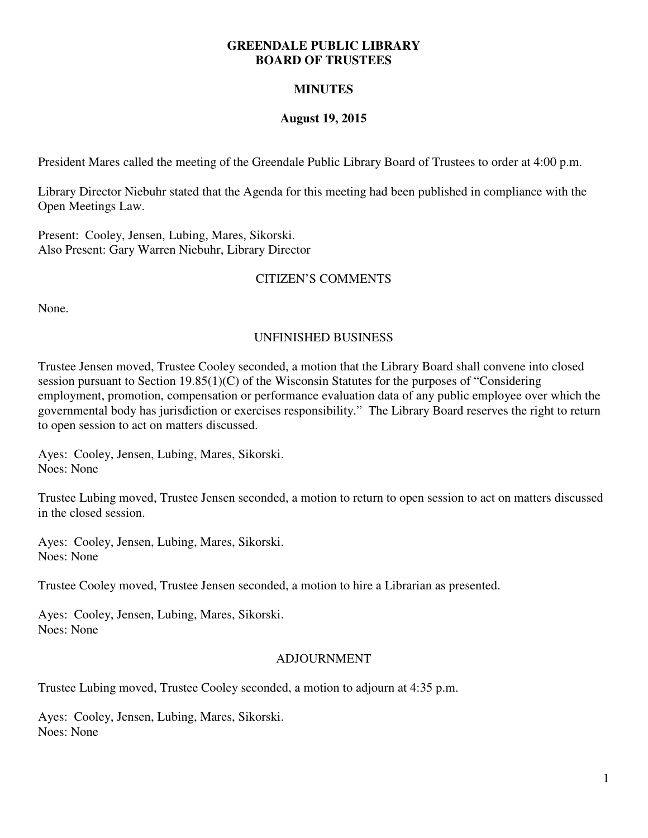#### **GREENDALE PUBLIC LIBRARY BOARD OF TRUSTEES**

# **MINUTES**

### **August 19, 2015**

President Mares called the meeting of the Greendale Public Library Board of Trustees to order at 4:00 p.m.

Library Director Niebuhr stated that the Agenda for this meeting had been published in compliance with the Open Meetings Law.

Present: Cooley, Jensen, Lubing, Mares, Sikorski. Also Present: Gary Warren Niebuhr, Library Director

# CITIZEN'S COMMENTS

None.

### UNFINISHED BUSINESS

Trustee Jensen moved, Trustee Cooley seconded, a motion that the Library Board shall convene into closed session pursuant to Section 19.85(1)(C) of the Wisconsin Statutes for the purposes of "Considering employment, promotion, compensation or performance evaluation data of any public employee over which the governmental body has jurisdiction or exercises responsibility." The Library Board reserves the right to return to open session to act on matters discussed.

Ayes: Cooley, Jensen, Lubing, Mares, Sikorski. Noes: None

Trustee Lubing moved, Trustee Jensen seconded, a motion to return to open session to act on matters discussed in the closed session.

Ayes: Cooley, Jensen, Lubing, Mares, Sikorski. Noes: None

Trustee Cooley moved, Trustee Jensen seconded, a motion to hire a Librarian as presented.

Ayes: Cooley, Jensen, Lubing, Mares, Sikorski. Noes: None

#### ADJOURNMENT

Trustee Lubing moved, Trustee Cooley seconded, a motion to adjourn at 4:35 p.m.

Ayes: Cooley, Jensen, Lubing, Mares, Sikorski. Noes: None